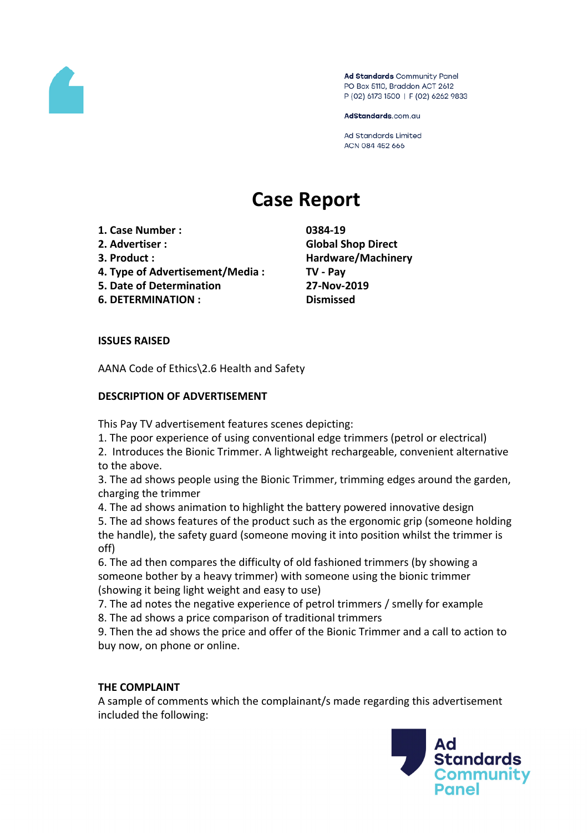

Ad Standards Community Panel PO Box 5110, Braddon ACT 2612 P (02) 6173 1500 | F (02) 6262 9833

AdStandards.com.au

**Ad Standards Limited** ACN 084 452 666

# **Case Report**

- **1. Case Number : 0384-19**
- 
- 
- **4. Type of Advertisement/Media : TV - Pay**
- **5. Date of Determination 27-Nov-2019**
- **6. DETERMINATION : Dismissed**

**2. Advertiser : Global Shop Direct 3. Product : Hardware/Machinery**

## **ISSUES RAISED**

AANA Code of Ethics\2.6 Health and Safety

## **DESCRIPTION OF ADVERTISEMENT**

This Pay TV advertisement features scenes depicting:

- 1. The poor experience of using conventional edge trimmers (petrol or electrical)
- 2. Introduces the Bionic Trimmer. A lightweight rechargeable, convenient alternative to the above.

3. The ad shows people using the Bionic Trimmer, trimming edges around the garden, charging the trimmer

4. The ad shows animation to highlight the battery powered innovative design 5. The ad shows features of the product such as the ergonomic grip (someone holding the handle), the safety guard (someone moving it into position whilst the trimmer is off)

6. The ad then compares the difficulty of old fashioned trimmers (by showing a someone bother by a heavy trimmer) with someone using the bionic trimmer (showing it being light weight and easy to use)

7. The ad notes the negative experience of petrol trimmers / smelly for example

8. The ad shows a price comparison of traditional trimmers

9. Then the ad shows the price and offer of the Bionic Trimmer and a call to action to buy now, on phone or online.

# **THE COMPLAINT**

A sample of comments which the complainant/s made regarding this advertisement included the following:

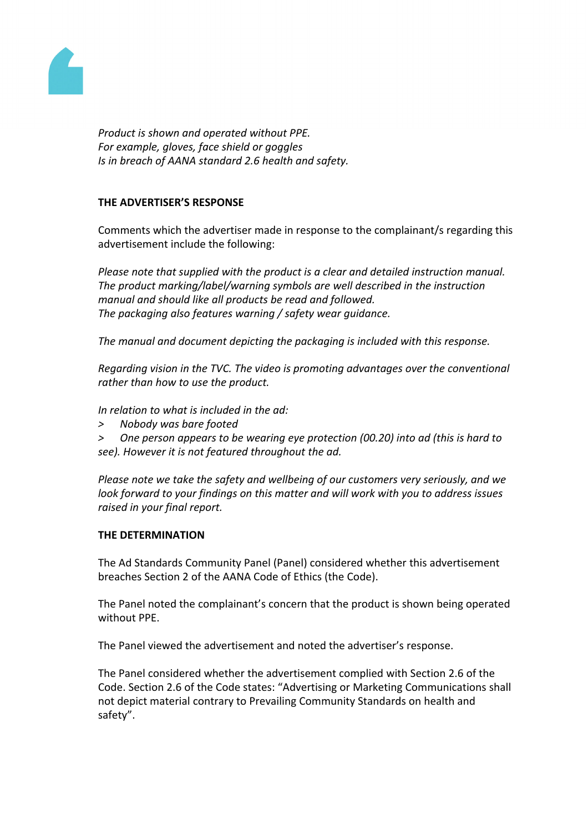

*Product is shown and operated without PPE. For example, gloves, face shield or goggles Is in breach of AANA standard 2.6 health and safety.*

### **THE ADVERTISER'S RESPONSE**

Comments which the advertiser made in response to the complainant/s regarding this advertisement include the following:

*Please note that supplied with the product is a clear and detailed instruction manual. The product marking/label/warning symbols are well described in the instruction manual and should like all products be read and followed. The packaging also features warning / safety wear guidance.*

*The manual and document depicting the packaging is included with this response.*

*Regarding vision in the TVC. The video is promoting advantages over the conventional rather than how to use the product.*

*In relation to what is included in the ad:*

- *> Nobody was bare footed*
- *> One person appears to be wearing eye protection (00.20) into ad (this is hard to see). However it is not featured throughout the ad.*

*Please note we take the safety and wellbeing of our customers very seriously, and we look forward to your findings on this matter and will work with you to address issues raised in your final report.*

#### **THE DETERMINATION**

The Ad Standards Community Panel (Panel) considered whether this advertisement breaches Section 2 of the AANA Code of Ethics (the Code).

The Panel noted the complainant's concern that the product is shown being operated without PPE.

The Panel viewed the advertisement and noted the advertiser's response.

The Panel considered whether the advertisement complied with Section 2.6 of the Code. Section 2.6 of the Code states: "Advertising or Marketing Communications shall not depict material contrary to Prevailing Community Standards on health and safety".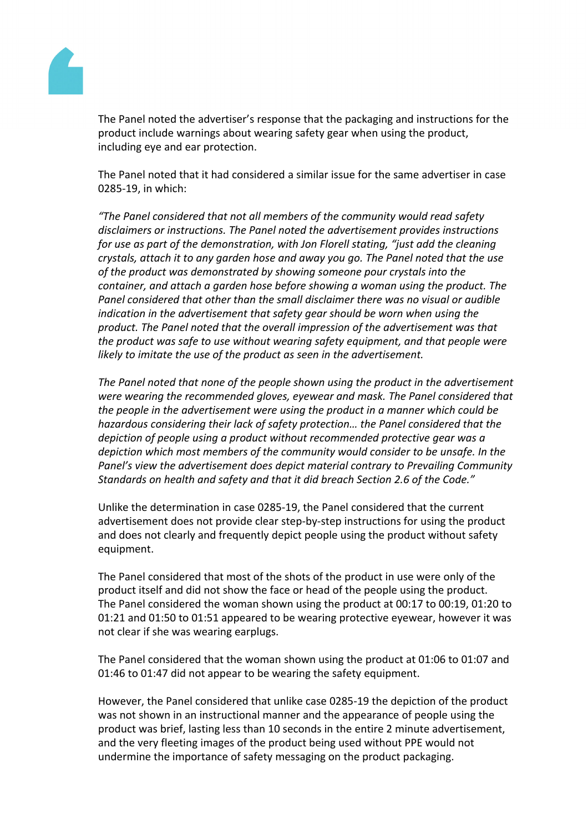

The Panel noted the advertiser's response that the packaging and instructions for the product include warnings about wearing safety gear when using the product, including eye and ear protection.

The Panel noted that it had considered a similar issue for the same advertiser in case 0285-19, in which:

*"The Panel considered that not all members of the community would read safety disclaimers or instructions. The Panel noted the advertisement provides instructions for use as part of the demonstration, with Jon Florell stating, "just add the cleaning crystals, attach it to any garden hose and away you go. The Panel noted that the use of the product was demonstrated by showing someone pour crystals into the container, and attach a garden hose before showing a woman using the product. The Panel considered that other than the small disclaimer there was no visual or audible indication in the advertisement that safety gear should be worn when using the product. The Panel noted that the overall impression of the advertisement was that the product was safe to use without wearing safety equipment, and that people were likely to imitate the use of the product as seen in the advertisement.*

*The Panel noted that none of the people shown using the product in the advertisement were wearing the recommended gloves, eyewear and mask. The Panel considered that the people in the advertisement were using the product in a manner which could be hazardous considering their lack of safety protection… the Panel considered that the depiction of people using a product without recommended protective gear was a depiction which most members of the community would consider to be unsafe. In the Panel's view the advertisement does depict material contrary to Prevailing Community Standards on health and safety and that it did breach Section 2.6 of the Code."*

Unlike the determination in case 0285-19, the Panel considered that the current advertisement does not provide clear step-by-step instructions for using the product and does not clearly and frequently depict people using the product without safety equipment.

The Panel considered that most of the shots of the product in use were only of the product itself and did not show the face or head of the people using the product. The Panel considered the woman shown using the product at 00:17 to 00:19, 01:20 to 01:21 and 01:50 to 01:51 appeared to be wearing protective eyewear, however it was not clear if she was wearing earplugs.

The Panel considered that the woman shown using the product at 01:06 to 01:07 and 01:46 to 01:47 did not appear to be wearing the safety equipment.

However, the Panel considered that unlike case 0285-19 the depiction of the product was not shown in an instructional manner and the appearance of people using the product was brief, lasting less than 10 seconds in the entire 2 minute advertisement, and the very fleeting images of the product being used without PPE would not undermine the importance of safety messaging on the product packaging.